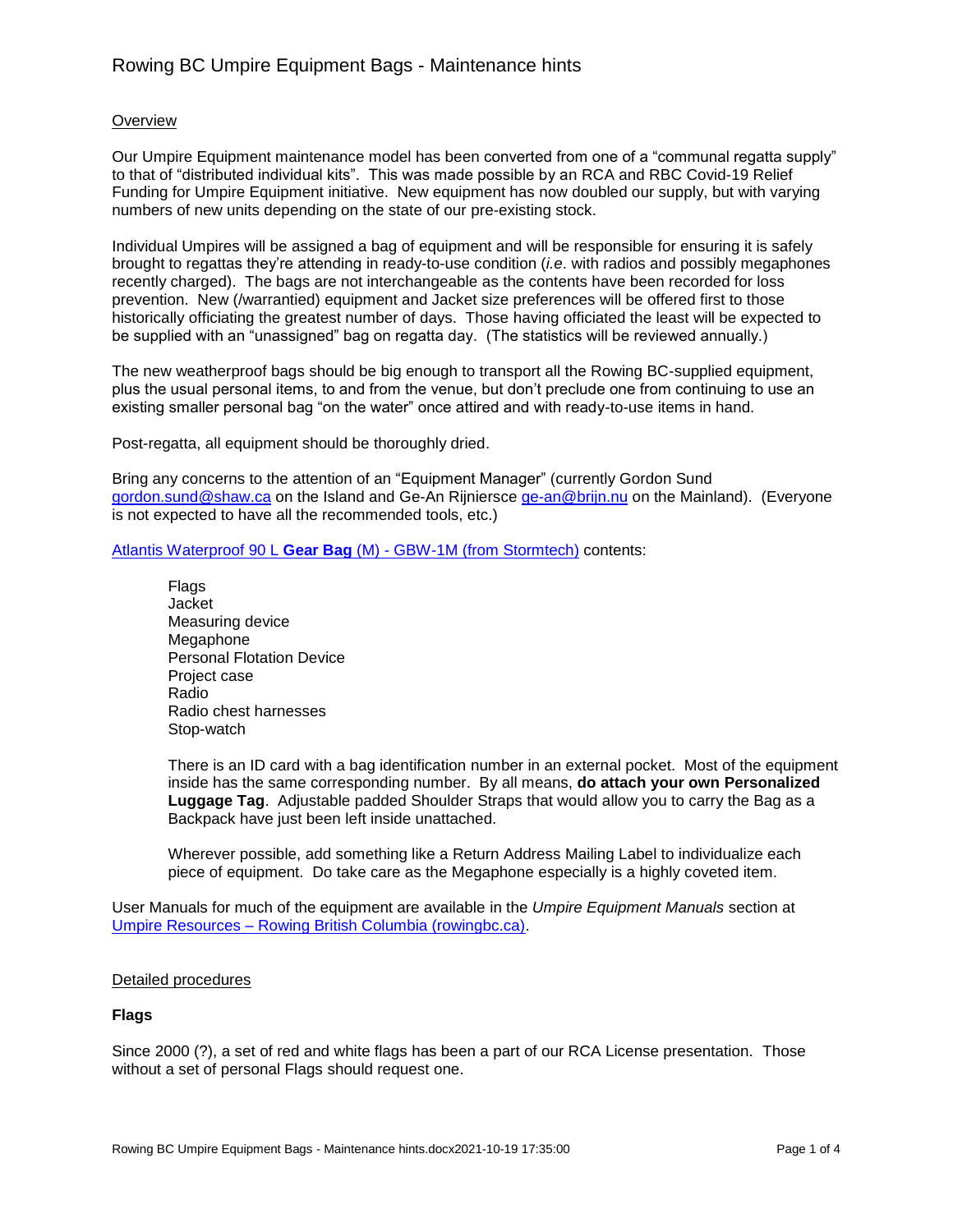# **Overview**

Our Umpire Equipment maintenance model has been converted from one of a "communal regatta supply" to that of "distributed individual kits". This was made possible by an RCA and RBC Covid-19 Relief Funding for Umpire Equipment initiative. New equipment has now doubled our supply, but with varying numbers of new units depending on the state of our pre-existing stock.

Individual Umpires will be assigned a bag of equipment and will be responsible for ensuring it is safely brought to regattas they're attending in ready-to-use condition (*i.e*. with radios and possibly megaphones recently charged). The bags are not interchangeable as the contents have been recorded for loss prevention. New (/warrantied) equipment and Jacket size preferences will be offered first to those historically officiating the greatest number of days. Those having officiated the least will be expected to be supplied with an "unassigned" bag on regatta day. (The statistics will be reviewed annually.)

The new weatherproof bags should be big enough to transport all the Rowing BC-supplied equipment, plus the usual personal items, to and from the venue, but don't preclude one from continuing to use an existing smaller personal bag "on the water" once attired and with ready-to-use items in hand.

Post-regatta, all equipment should be thoroughly dried.

Bring any concerns to the attention of an "Equipment Manager" (currently Gordon Sund [gordon.sund@shaw.ca](mailto:gordon.sund@shaw.ca) on the Island and Ge-An Rijniersce [ge-an@brijn.nu](mailto:ge-an@brijn.nu) on the Mainland). (Everyone is not expected to have all the recommended tools, etc.)

[Atlantis Waterproof 90 L](https://www.stormtech.ca/products/atlantis-waterproof-gear-bag-m-gbw-1m?variant=14796770345075) **Gear Bag** (M) - GBW-1M (from Stormtech) contents:

**Flags** Jacket Measuring device **Megaphone** Personal Flotation Device Project case Radio Radio chest harnesses Stop-watch

There is an ID card with a bag identification number in an external pocket. Most of the equipment inside has the same corresponding number. By all means, **do attach your own Personalized Luggage Tag**. Adjustable padded Shoulder Straps that would allow you to carry the Bag as a Backpack have just been left inside unattached.

Wherever possible, add something like a Return Address Mailing Label to individualize each piece of equipment. Do take care as the Megaphone especially is a highly coveted item.

User Manuals for much of the equipment are available in the *Umpire Equipment Manuals* section at Umpire Resources – [Rowing British Columbia \(rowingbc.ca\).](https://rowingbc.ca/umpire-resources/)

## Detailed procedures

## **Flags**

Since 2000 (?), a set of red and white flags has been a part of our RCA License presentation. Those without a set of personal Flags should request one.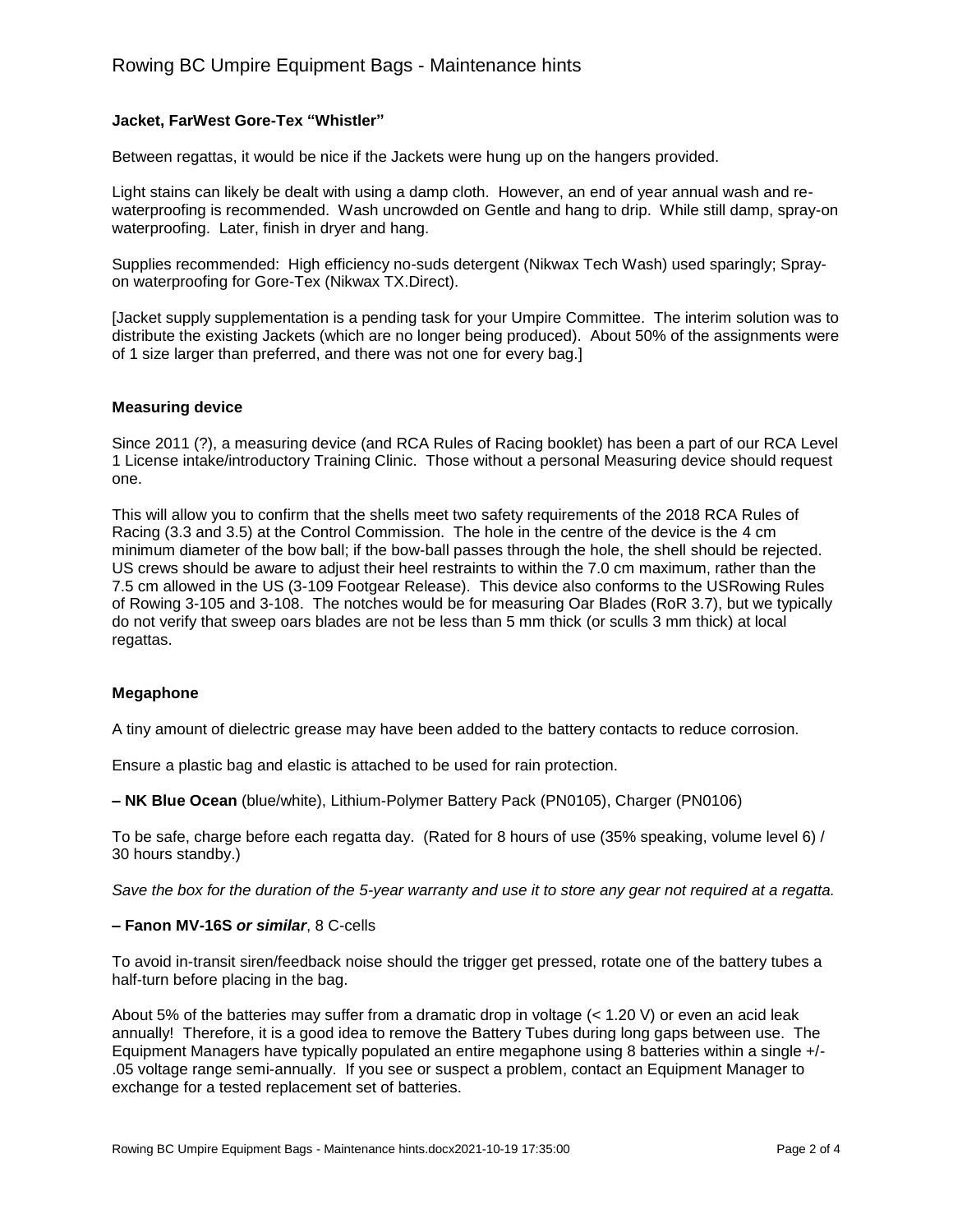# **Jacket, FarWest Gore-Tex "Whistler"**

Between regattas, it would be nice if the Jackets were hung up on the hangers provided.

Light stains can likely be dealt with using a damp cloth. However, an end of year annual wash and rewaterproofing is recommended. Wash uncrowded on Gentle and hang to drip. While still damp, spray-on waterproofing. Later, finish in dryer and hang.

Supplies recommended: High efficiency no-suds detergent (Nikwax Tech Wash) used sparingly; Sprayon waterproofing for Gore-Tex (Nikwax TX.Direct).

[Jacket supply supplementation is a pending task for your Umpire Committee. The interim solution was to distribute the existing Jackets (which are no longer being produced). About 50% of the assignments were of 1 size larger than preferred, and there was not one for every bag.]

## **Measuring device**

Since 2011 (?), a measuring device (and RCA Rules of Racing booklet) has been a part of our RCA Level 1 License intake/introductory Training Clinic. Those without a personal Measuring device should request one.

This will allow you to confirm that the shells meet two safety requirements of the 2018 RCA Rules of Racing (3.3 and 3.5) at the Control Commission. The hole in the centre of the device is the 4 cm minimum diameter of the bow ball; if the bow-ball passes through the hole, the shell should be rejected. US crews should be aware to adjust their heel restraints to within the 7.0 cm maximum, rather than the 7.5 cm allowed in the US (3-109 Footgear Release). This device also conforms to the USRowing Rules of Rowing 3-105 and 3-108. The notches would be for measuring Oar Blades (RoR 3.7), but we typically do not verify that sweep oars blades are not be less than 5 mm thick (or sculls 3 mm thick) at local regattas.

## **Megaphone**

A tiny amount of dielectric grease may have been added to the battery contacts to reduce corrosion.

Ensure a plastic bag and elastic is attached to be used for rain protection.

**– NK Blue Ocean** (blue/white), Lithium-Polymer Battery Pack (PN0105), Charger (PN0106)

To be safe, charge before each regatta day. (Rated for 8 hours of use (35% speaking, volume level 6) / 30 hours standby.)

*Save the box for the duration of the 5-year warranty and use it to store any gear not required at a regatta.*

#### **– Fanon MV-16S** *or similar*, 8 C-cells

To avoid in-transit siren/feedback noise should the trigger get pressed, rotate one of the battery tubes a half-turn before placing in the bag.

About 5% of the batteries may suffer from a dramatic drop in voltage (< 1.20 V) or even an acid leak annually! Therefore, it is a good idea to remove the Battery Tubes during long gaps between use. The Equipment Managers have typically populated an entire megaphone using 8 batteries within a single +/- .05 voltage range semi-annually. If you see or suspect a problem, contact an Equipment Manager to exchange for a tested replacement set of batteries.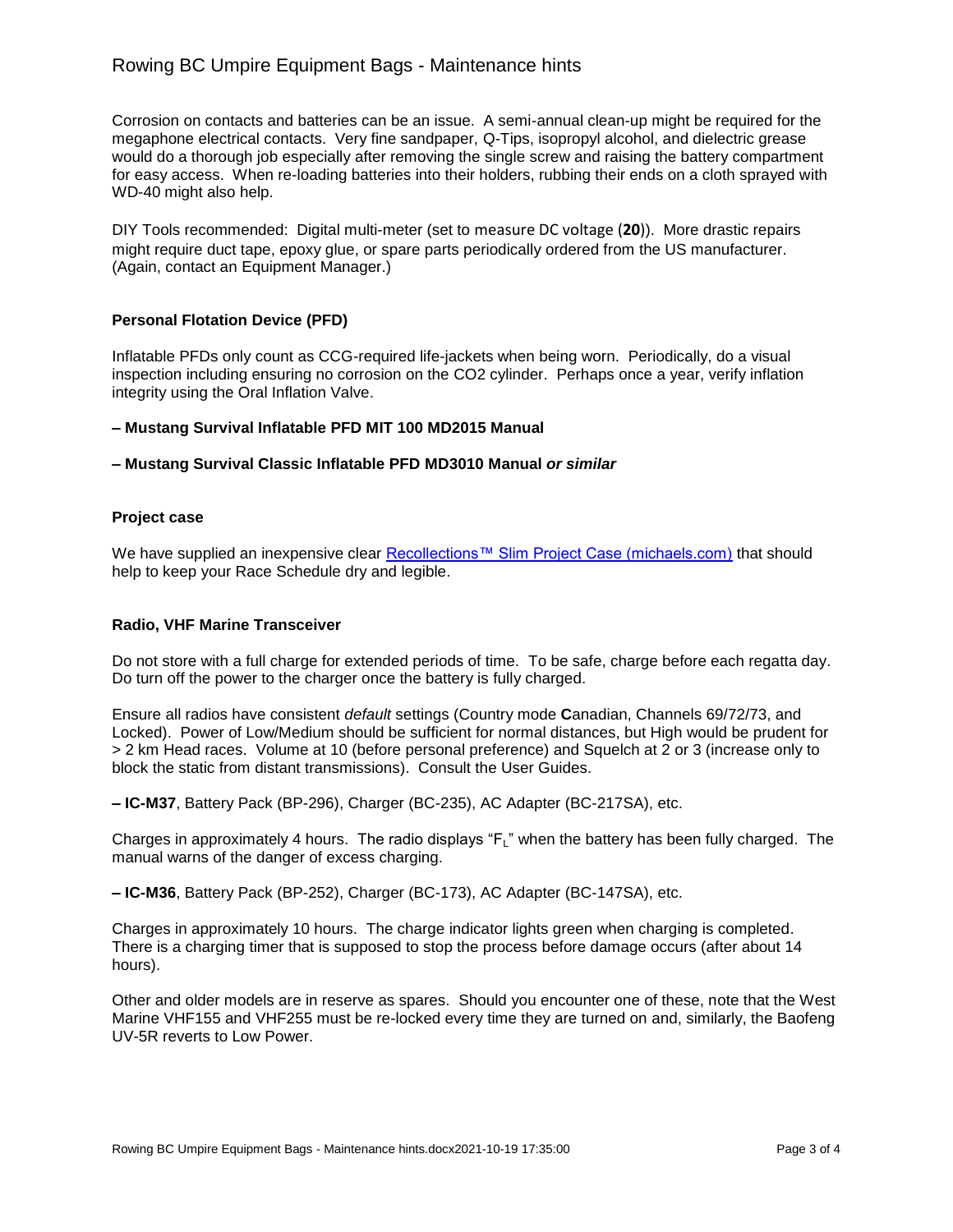# Rowing BC Umpire Equipment Bags - Maintenance hints

Corrosion on contacts and batteries can be an issue. A semi-annual clean-up might be required for the megaphone electrical contacts. Very fine sandpaper, Q-Tips, isopropyl alcohol, and dielectric grease would do a thorough job especially after removing the single screw and raising the battery compartment for easy access. When re-loading batteries into their holders, rubbing their ends on a cloth sprayed with WD-40 might also help.

DIY Tools recommended: Digital multi-meter (set to measure DC voltage (**20**)). More drastic repairs might require duct tape, epoxy glue, or spare parts periodically ordered from the US manufacturer. (Again, contact an Equipment Manager.)

## **Personal Flotation Device (PFD)**

Inflatable PFDs only count as CCG-required life-jackets when being worn. Periodically, do a visual inspection including ensuring no corrosion on the CO2 cylinder. Perhaps once a year, verify inflation integrity using the Oral Inflation Valve.

## **– Mustang Survival Inflatable PFD MIT 100 MD2015 Manual**

#### **– Mustang Survival Classic Inflatable PFD MD3010 Manual** *or similar*

#### **Project case**

We have supplied an inexpensive clear [Recollections™ Slim Project Case \(michaels.com\)](https://canada.michaels.com/en/recollections-slim-project-case/10272122.html) that should help to keep your Race Schedule dry and legible.

#### **Radio, VHF Marine Transceiver**

Do not store with a full charge for extended periods of time. To be safe, charge before each regatta day. Do turn off the power to the charger once the battery is fully charged.

Ensure all radios have consistent *default* settings (Country mode **C**anadian, Channels 69/72/73, and Locked). Power of Low/Medium should be sufficient for normal distances, but High would be prudent for > 2 km Head races. Volume at 10 (before personal preference) and Squelch at 2 or 3 (increase only to block the static from distant transmissions). Consult the User Guides.

**– IC-M37**, Battery Pack (BP-296), Charger (BC-235), AC Adapter (BC-217SA), etc.

Charges in approximately 4 hours. The radio displays "F<sub>L</sub>" when the battery has been fully charged. The manual warns of the danger of excess charging.

**– IC-M36**, Battery Pack (BP-252), Charger (BC-173), AC Adapter (BC-147SA), etc.

Charges in approximately 10 hours. The charge indicator lights green when charging is completed. There is a charging timer that is supposed to stop the process before damage occurs (after about 14 hours).

Other and older models are in reserve as spares. Should you encounter one of these, note that the West Marine VHF155 and VHF255 must be re-locked every time they are turned on and, similarly, the Baofeng UV-5R reverts to Low Power.